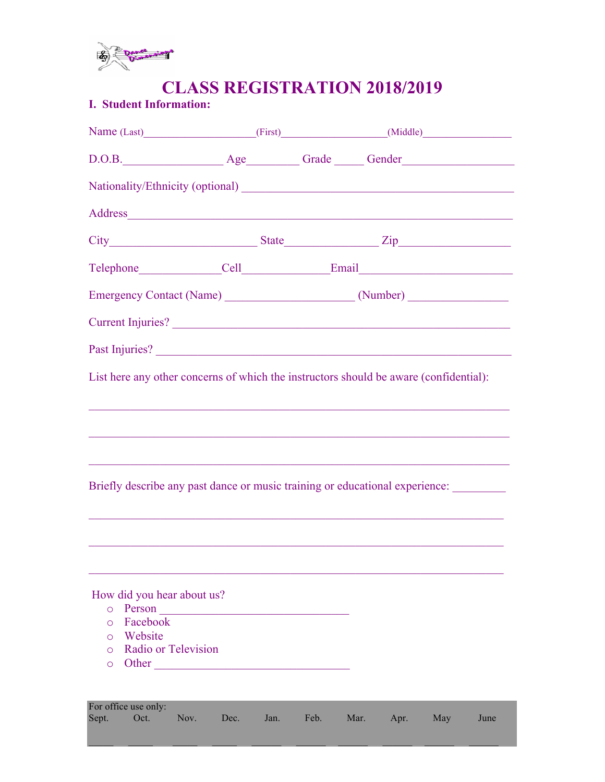

# **CLASS REGISTRATION 2018/2019**

# **I. Student Information:**

| Name (Last) (First) (Niddle) (Middle)                                                                                                                                                                                          |                                                                                                                       |      |              |     |      |
|--------------------------------------------------------------------------------------------------------------------------------------------------------------------------------------------------------------------------------|-----------------------------------------------------------------------------------------------------------------------|------|--------------|-----|------|
|                                                                                                                                                                                                                                |                                                                                                                       |      |              |     |      |
|                                                                                                                                                                                                                                |                                                                                                                       |      |              |     |      |
| Address and the contract of the contract of the contract of the contract of the contract of the contract of the contract of the contract of the contract of the contract of the contract of the contract of the contract of th |                                                                                                                       |      |              |     |      |
|                                                                                                                                                                                                                                |                                                                                                                       |      |              |     |      |
| Telephone Cell Email Email                                                                                                                                                                                                     |                                                                                                                       |      |              |     |      |
|                                                                                                                                                                                                                                |                                                                                                                       |      |              |     |      |
| Current Injuries?                                                                                                                                                                                                              |                                                                                                                       |      |              |     |      |
|                                                                                                                                                                                                                                |                                                                                                                       |      |              |     |      |
| List here any other concerns of which the instructors should be aware (confidential):                                                                                                                                          |                                                                                                                       |      |              |     |      |
|                                                                                                                                                                                                                                |                                                                                                                       |      |              |     |      |
|                                                                                                                                                                                                                                |                                                                                                                       |      |              |     |      |
| ,我们也不能在这里的时候,我们也不能在这里的时候,我们也不能在这里的时候,我们也不能会不能在这里的时候,我们也不能会不能会不能会不能会不能会不能会不能会不能会不                                                                                                                                               |                                                                                                                       |      |              |     |      |
| Briefly describe any past dance or music training or educational experience:                                                                                                                                                   |                                                                                                                       |      |              |     |      |
|                                                                                                                                                                                                                                | <u> 1989 - Johann Stoff, deutscher Stoff, der Stoff, der Stoff, der Stoff, der Stoff, der Stoff, der Stoff, der S</u> |      |              |     |      |
|                                                                                                                                                                                                                                |                                                                                                                       |      |              |     |      |
|                                                                                                                                                                                                                                |                                                                                                                       |      |              |     |      |
| How did you hear about us?                                                                                                                                                                                                     |                                                                                                                       |      |              |     |      |
| $\circ$                                                                                                                                                                                                                        |                                                                                                                       |      |              |     |      |
| Facebook<br>$\circ$                                                                                                                                                                                                            |                                                                                                                       |      |              |     |      |
| Website<br>$\circ$                                                                                                                                                                                                             |                                                                                                                       |      |              |     |      |
| Radio or Television<br>$\circ$                                                                                                                                                                                                 |                                                                                                                       |      |              |     |      |
| $\circ$                                                                                                                                                                                                                        |                                                                                                                       |      |              |     |      |
| For office use only:                                                                                                                                                                                                           |                                                                                                                       |      |              |     |      |
| Sept.<br>Oct.<br>Nov.                                                                                                                                                                                                          | Dec.<br>Jan.                                                                                                          | Feb. | Mar.<br>Apr. | May | June |